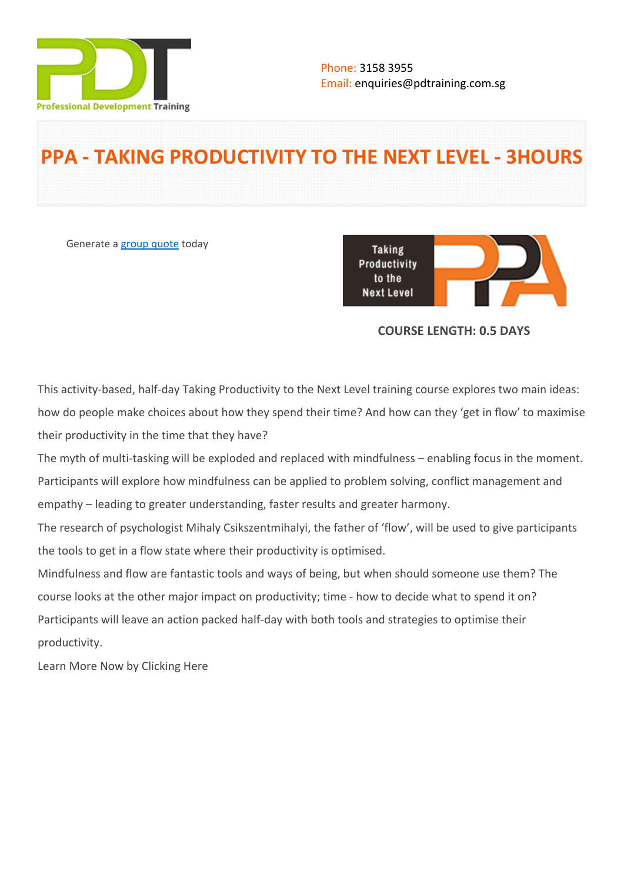

# **PPA - TAKING PRODUCTIVITY TO THE NEXT LEVEL - 3HOURS**

Generate a [group quote](https://pdtraining.com.sg/inhouse-training-quote?cse=PDTP4753_C) today

**Taking** Productivity to the **Next Level** 

## **COURSE LENGTH: 0.5 DAYS**

This activity-based, half-day Taking Productivity to the Next Level training course explores two main ideas: how do people make choices about how they spend their time? And how can they 'get in flow' to maximise their productivity in the time that they have?

The myth of multi-tasking will be exploded and replaced with mindfulness – enabling focus in the moment. Participants will explore how mindfulness can be applied to problem solving, conflict management and empathy – leading to greater understanding, faster results and greater harmony.

The research of psychologist Mihaly Csikszentmihalyi, the father of 'flow', will be used to give participants the tools to get in a flow state where their productivity is optimised.

Mindfulness and flow are fantastic tools and ways of being, but when should someone use them? The course looks at the other major impact on productivity; time - how to decide what to spend it on? Participants will leave an action packed half-day with both tools and strategies to optimise their productivity.

[Learn More Now by Clicking Here](http://productivepeople.co/part-4-taking-productivity.html)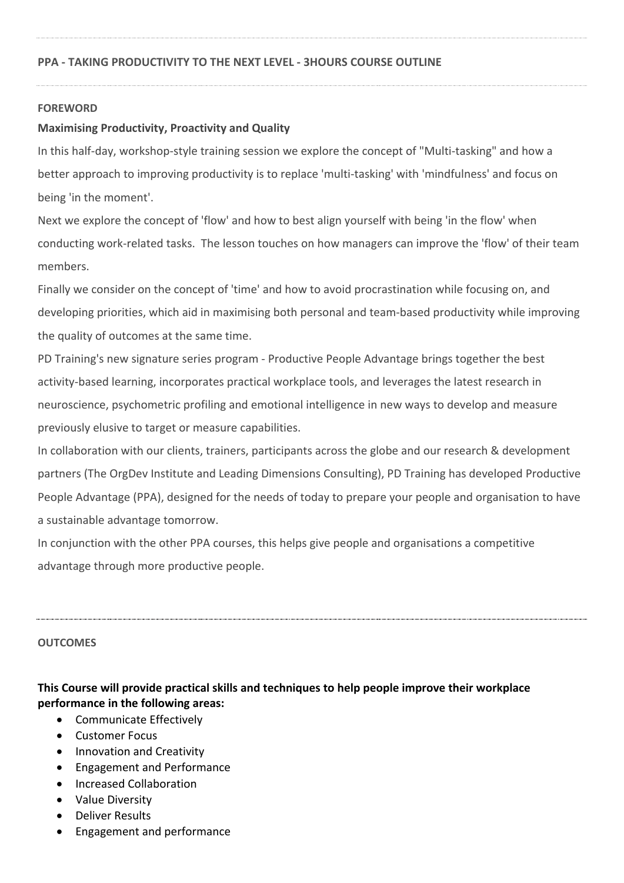## **FOREWORD**

## **Maximising Productivity, Proactivity and Quality**

In this half-day, workshop-style training session we explore the concept of "Multi-tasking" and how a better approach to improving productivity is to replace 'multi-tasking' with 'mindfulness' and focus on being 'in the moment'.

Next we explore the concept of 'flow' and how to best align yourself with being 'in the flow' when conducting work-related tasks. The lesson touches on how managers can improve the 'flow' of their team members.

Finally we consider on the concept of 'time' and how to avoid procrastination while focusing on, and developing priorities, which aid in maximising both personal and team-based productivity while improving the quality of outcomes at the same time.

PD Training's new signature series program - Productive People Advantage brings together the best activity-based learning, incorporates practical workplace tools, and leverages the latest research in neuroscience, psychometric profiling and emotional intelligence in new ways to develop and measure previously elusive to target or measure capabilities.

In collaboration with our clients, trainers, participants across the globe and our research & development partners (The OrgDev Institute and Leading Dimensions Consulting), PD Training has developed Productive People Advantage (PPA), designed for the needs of today to prepare your people and organisation to have a sustainable advantage tomorrow.

In conjunction with the other PPA courses, this helps give people and organisations a competitive advantage through more productive people.

### **OUTCOMES**

# **This Course will provide practical skills and techniques to help people improve their workplace performance in the following areas:**

- Communicate Effectively
- Customer Focus
- Innovation and Creativity
- Engagement and Performance
- **•** Increased Collaboration
- Value Diversity
- Deliver Results
- Engagement and performance